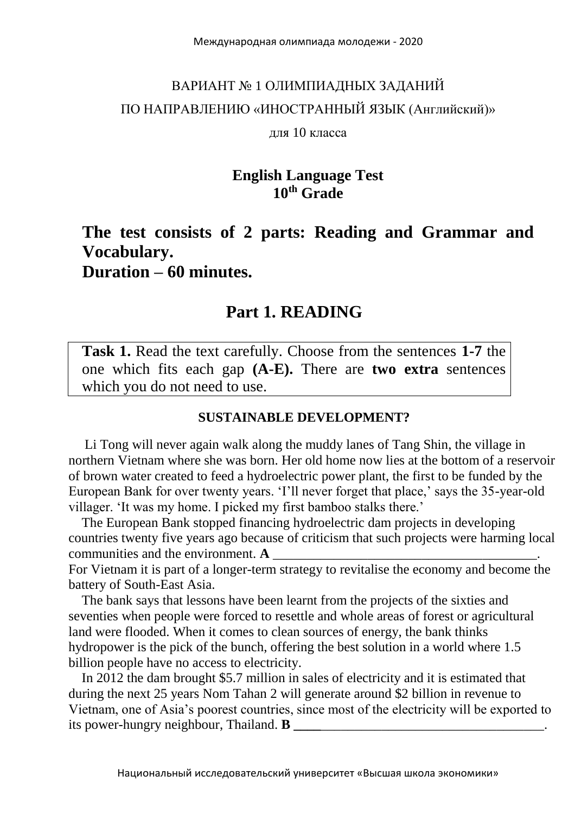# ВАРИАНТ № 1 ОЛИМПИАДНЫХ ЗАДАНИЙ ПО НАПРАВЛЕНИЮ «ИНОСТРАННЫЙ ЯЗЫК (Английский)»

#### для 10 класса

#### **English Language Test 10th Grade**

## **The test consists of 2 parts: Reading and Grammar and Vocabulary. Duration – 60 minutes.**

#### **Part 1. READING**

**Task 1.** Read the text carefully. Choose from the sentences **1-7** the one which fits each gap **(A-E).** There are **two extra** sentences which you do not need to use.

#### **SUSTAINABLE DEVELOPMENT?**

 Li Tong will never again walk along the muddy lanes of Tang Shin, the village in northern Vietnam where she was born. Her old home now lies at the bottom of a reservoir of brown water created to feed a hydroelectric power plant, the first to be funded by the European Bank for over twenty years. 'I'll never forget that place,' says the 35-year-old villager. 'It was my home. I picked my first bamboo stalks there.'

 The European Bank stopped financing hydroelectric dam projects in developing countries twenty five years ago because of criticism that such projects were harming local communities and the environment. **A** 

For Vietnam it is part of a longer-term strategy to revitalise the economy and become the battery of South-East Asia.

 The bank says that lessons have been learnt from the projects of the sixties and seventies when people were forced to resettle and whole areas of forest or agricultural land were flooded. When it comes to clean sources of energy, the bank thinks hydropower is the pick of the bunch, offering the best solution in a world where 1.5 billion people have no access to electricity.

 In 2012 the dam brought \$5.7 million in sales of electricity and it is estimated that during the next 25 years Nom Tahan 2 will generate around \$2 billion in revenue to Vietnam, one of Asia's poorest countries, since most of the electricity will be exported to its power-hungry neighbour, Thailand. **B**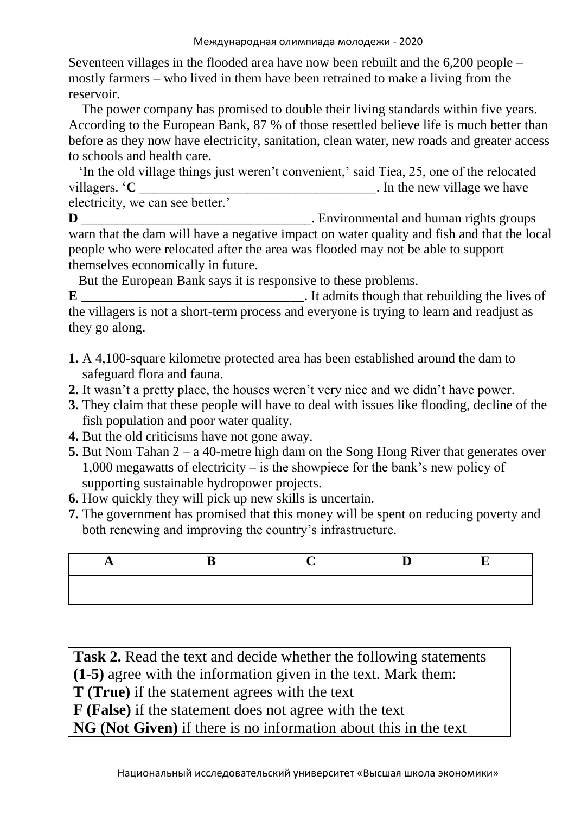Seventeen villages in the flooded area have now been rebuilt and the 6,200 people – mostly farmers – who lived in them have been retrained to make a living from the reservoir.

 The power company has promised to double their living standards within five years. According to the European Bank, 87 % of those resettled believe life is much better than before as they now have electricity, sanitation, clean water, new roads and greater access to schools and health care.

 'In the old village things just weren't convenient,' said Tiea, 25, one of the relocated villagers. '**C** electricity, we can see better.'

**D** D Environmental and human rights groups warn that the dam will have a negative impact on water quality and fish and that the local people who were relocated after the area was flooded may not be able to support themselves economically in future.

But the European Bank says it is responsive to these problems.

**E** \_\_\_\_\_\_\_\_\_\_\_\_\_\_\_\_\_\_\_\_\_\_\_\_\_\_\_\_\_\_\_\_\_. It admits though that rebuilding the lives of the villagers is not a short-term process and everyone is trying to learn and readjust as they go along.

- **1.** A 4,100-square kilometre protected area has been established around the dam to safeguard flora and fauna.
- **2.** It wasn't a pretty place, the houses weren't very nice and we didn't have power.
- **3.** They claim that these people will have to deal with issues like flooding, decline of the fish population and poor water quality.
- **4.** But the old criticisms have not gone away.
- **5.** But Nom Tahan 2 a 40-metre high dam on the Song Hong River that generates over 1,000 megawatts of electricity – is the showpiece for the bank's new policy of supporting sustainable hydropower projects.
- **6.** How quickly they will pick up new skills is uncertain.
- **7.** The government has promised that this money will be spent on reducing poverty and both renewing and improving the country's infrastructure.

Task 2. Read the text and decide whether the following statements **(1-5)** agree with the information given in the text. Mark them: **T (True)** if the statement agrees with the text **F (False)** if the statement does not agree with the text **NG (Not Given)** if there is no information about this in the text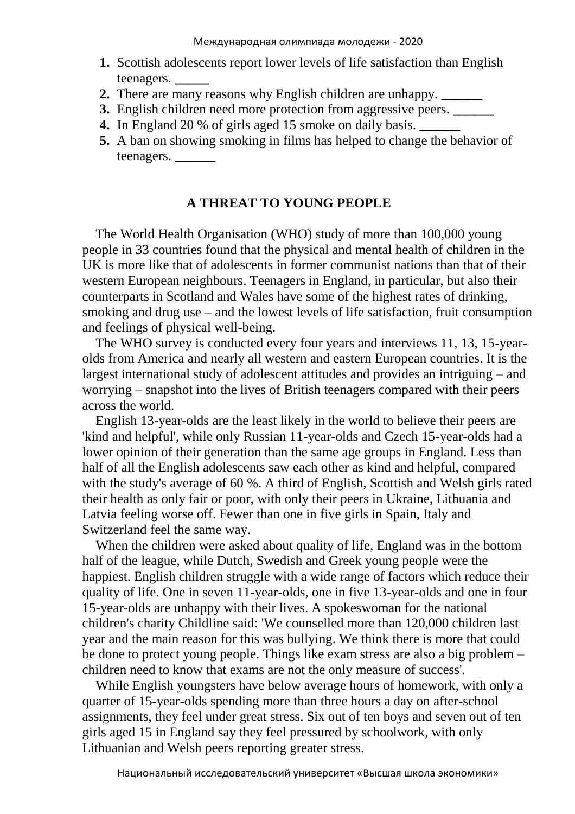- **1.** Scottish adolescents report lower levels of life satisfaction than English teenagers. **\_\_\_\_\_**
- **2.** There are many reasons why English children are unhappy. **\_\_\_\_\_\_**
- **3.** English children need more protection from aggressive peers. **\_\_\_\_\_\_**
- **4.** In England 20 % of girls aged 15 smoke on daily basis. **\_\_\_\_\_\_**
- **5.** A ban on showing smoking in films has helped to change the behavior of teenagers. **\_\_\_\_\_\_**

#### **A THREAT TO YOUNG PEOPLE**

 The World Health Organisation (WHO) study of more than 100,000 young people in 33 countries found that the physical and mental health of children in the UK is more like that of adolescents in former communist nations than that of their western European neighbours. Teenagers in England, in particular, but also their counterparts in Scotland and Wales have some of the highest rates of drinking, smoking and drug use – and the lowest levels of life satisfaction, fruit consumption and feelings of physical well-being.

 The WHO survey is conducted every four years and interviews 11, 13, 15-yearolds from America and nearly all western and eastern European countries. It is the largest international study of adolescent attitudes and provides an intriguing – and worrying – snapshot into the lives of British teenagers compared with their peers across the world.

 English 13-year-olds are the least likely in the world to believe their peers are 'kind and helpful', while only Russian 11-year-olds and Czech 15-year-olds had a lower opinion of their generation than the same age groups in England. Less than half of all the English adolescents saw each other as kind and helpful, compared with the study's average of 60 %. A third of English, Scottish and Welsh girls rated their health as only fair or poor, with only their peers in Ukraine, Lithuania and Latvia feeling worse off. Fewer than one in five girls in Spain, Italy and Switzerland feel the same way.

 When the children were asked about quality of life, England was in the bottom half of the league, while Dutch, Swedish and Greek young people were the happiest. English children struggle with a wide range of factors which reduce their quality of life. One in seven 11-year-olds, one in five 13-year-olds and one in four 15-year-olds are unhappy with their lives. A spokeswoman for the national children's charity Childline said: 'We counselled more than 120,000 children last year and the main reason for this was bullying. We think there is more that could be done to protect young people. Things like exam stress are also a big problem – children need to know that exams are not the only measure of success'.

 While English youngsters have below average hours of homework, with only a quarter of 15-year-olds spending more than three hours a day on after-school assignments, they feel under great stress. Six out of ten boys and seven out of ten girls aged 15 in England say they feel pressured by schoolwork, with only Lithuanian and Welsh peers reporting greater stress.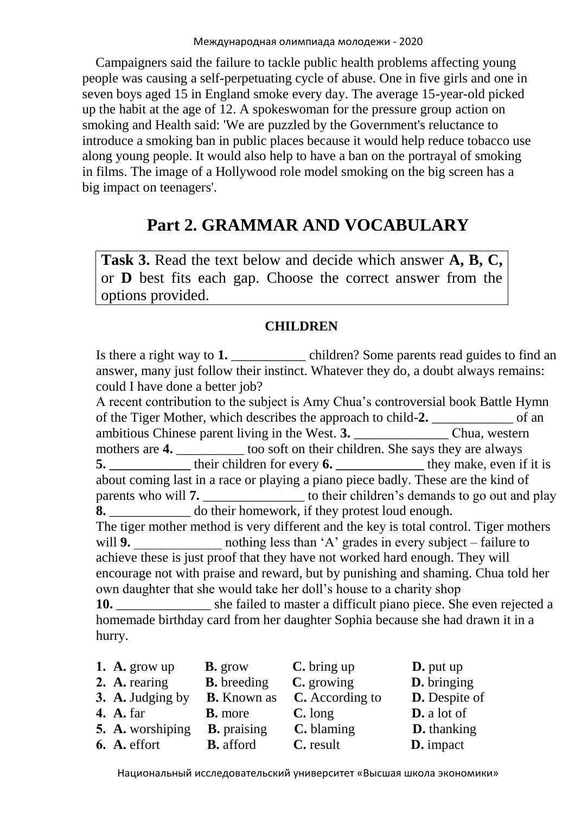Campaigners said the failure to tackle public health problems affecting young people was causing a self-perpetuating cycle of abuse. One in five girls and one in seven boys aged 15 in England smoke every day. The average 15-year-old picked up the habit at the age of 12. A spokeswoman for the pressure group action on smoking and Health said: 'We are puzzled by the Government's reluctance to introduce a smoking ban in public places because it would help reduce tobacco use along young people. It would also help to have a ban on the portrayal of smoking in films. The image of a Hollywood role model smoking on the big screen has a big impact on teenagers'.

# **Part 2. GRAMMAR AND VOCABULARY**

**Task 3.** Read the text below and decide which answer **A, B, C,** or **D** best fits each gap. Choose the correct answer from the options provided.

#### **CHILDREN**

Is there a right way to 1. **a** children? Some parents read guides to find an answer, many just follow their instinct. Whatever they do, a doubt always remains: could I have done a better job?

A recent contribution to the subject is Amy Chua's controversial book Battle Hymn of the Tiger Mother, which describes the approach to child-**2.** \_\_\_\_\_\_\_\_\_\_\_\_ of an ambitious Chinese parent living in the West. **3.** \_\_\_\_\_\_\_\_\_\_\_\_\_\_ Сhua, western mothers are **4.** \_\_\_\_\_\_\_\_\_ too soft on their children. She says they are always **5. \_\_\_\_\_\_\_\_\_\_\_\_** their children for every **6. \_\_\_\_\_\_\_\_\_\_\_\_\_** they make, even if it is about coming last in a race or playing a piano piece badly. These are the kind of parents who will **7.** \_\_\_\_\_\_\_\_\_\_\_\_\_\_\_ to their children's demands to go out and play **8.** \_\_\_\_\_\_\_\_\_\_\_\_ do their homework, if they protest loud enough. The tiger mother method is very different and the key is total control. Tiger mothers will **9.** contract nothing less than 'A' grades in every subject – failure to achieve these is just proof that they have not worked hard enough. They will encourage not with praise and reward, but by punishing and shaming. Chua told her own daughter that she would take her doll's house to a charity shop **10.** \_\_\_\_\_\_\_\_\_\_\_\_\_\_ she failed to master a difficult piano piece. She even rejected a homemade birthday card from her daughter Sophia because she had drawn it in a

**1. A.** grow **B.** grow **C.** bring up **D.** put up **2. A.** rearing **B.** breeding **C.** growing **D.** bringing **3. A.** Judging by **B.** Known as **C.** According to **D.** Despite of **4. A.** far **B.** more **C.** long **D.** a lot of **5. A.** worshiping **B.** praising **C.** blaming **D.** thanking **6. A.** effort **B.** afford **C.** result **D.** impact

hurry.

Национальный исследовательский университет «Высшая школа экономики»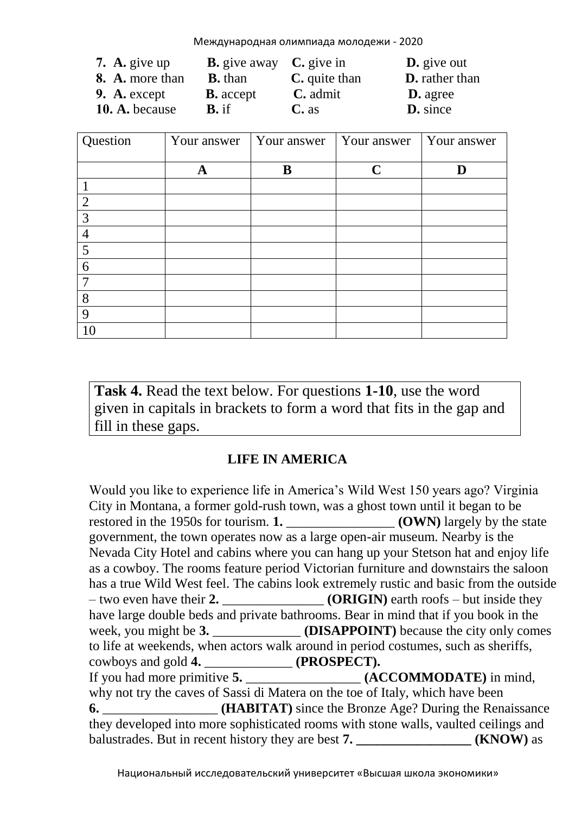Международная олимпиада молодежи - 2020

| 7. A. give up   | <b>B.</b> give away $C$ , give in |                      | $\mathbf{D}$ , give out |
|-----------------|-----------------------------------|----------------------|-------------------------|
| 8. A. more than | <b>B.</b> than                    | <b>C.</b> quite than | <b>D.</b> rather than   |
| 9. A. except    | <b>B.</b> accept                  | $C.$ admit           | <b>D.</b> agree         |
| 10. A. because  | $\mathbf{B}$ . if                 | $C$ . as             | <b>D.</b> since         |

| Question       | Your answer | Your answer | Your answer | Your answer |
|----------------|-------------|-------------|-------------|-------------|
|                | A           | B           | $\mathbf C$ | D           |
|                |             |             |             |             |
| $\overline{2}$ |             |             |             |             |
| 3              |             |             |             |             |
| $\overline{4}$ |             |             |             |             |
| 5              |             |             |             |             |
| 6              |             |             |             |             |
| $\overline{7}$ |             |             |             |             |
| 8              |             |             |             |             |
| 9              |             |             |             |             |
| 10             |             |             |             |             |

**Task 4.** Read the text below. For questions **1-10**, use the word given in capitals in brackets to form a word that fits in the gap and fill in these gaps.

#### **LIFE IN AMERICA**

Would you like to experience life in America's Wild West 150 years ago? Virginia City in Montana, a former gold-rush town, was a ghost town until it began to be restored in the 1950s for tourism. **1.** \_\_\_\_\_\_\_\_\_\_\_\_\_\_\_\_ **(OWN)** largely by the state government, the town operates now as a large open-air museum. Nearby is the Nevada City Hotel and cabins where you can hang up your Stetson hat and enjoy life as a cowboy. The rooms feature period Victorian furniture and downstairs the saloon has a true Wild West feel. The cabins look extremely rustic and basic from the outside – two even have their **2.** \_\_\_\_\_\_\_\_\_\_\_\_\_\_\_ **(ORIGIN)** earth roofs – but inside they have large double beds and private bathrooms. Bear in mind that if you book in the week, you might be **3.** \_\_\_\_\_\_\_\_\_\_\_\_\_ **(DISAPPOINT)** because the city only comes to life at weekends, when actors walk around in period costumes, such as sheriffs, cowboys and gold **4.** \_\_\_\_\_\_\_\_\_\_\_\_\_ **(PROSPECT).** If you had more primitive **5.** \_\_\_\_\_\_\_\_\_\_\_\_\_\_\_\_\_ **(ACCOMMODATE)** in mind, why not try the caves of Sassi di Matera on the toe of Italy, which have been **6.** *CHABITAT* since the Bronze Age? During the Renaissance they developed into more sophisticated rooms with stone walls, vaulted ceilings and balustrades. But in recent history they are best **7. \_\_\_\_\_\_\_\_\_\_\_\_\_\_\_\_\_ (KNOW)** as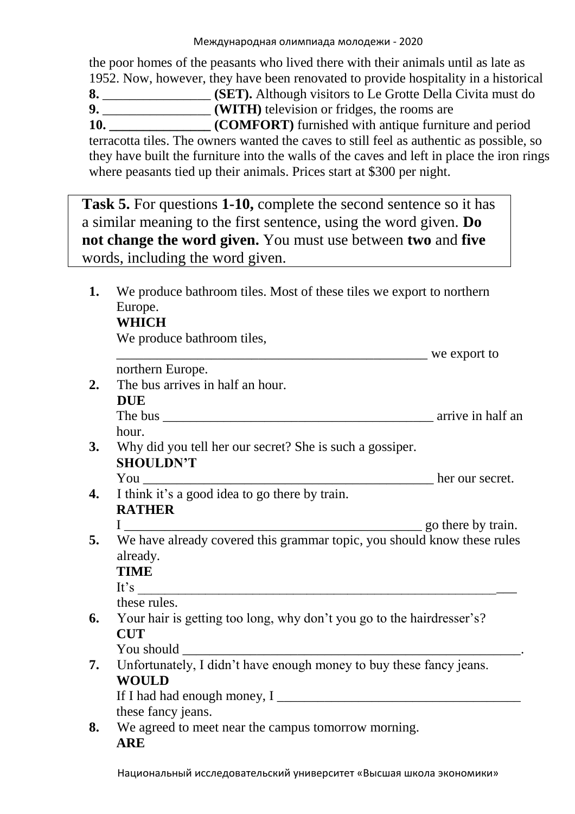the poor homes of the peasants who lived there with their animals until as late as 1952. Now, however, they have been renovated to provide hospitality in a historical **8.** \_\_\_\_\_\_\_\_\_\_\_\_\_\_\_\_ **(SET).** Although visitors to Le Grotte Della Civita must do **9.** \_\_\_\_\_\_\_\_\_\_\_\_\_\_\_\_ **(WITH)** television or fridges, the rooms are **10. COMFORT**) furnished with antique furniture and period terracotta tiles. The owners wanted the caves to still feel as authentic as possible, so they have built the furniture into the walls of the caves and left in place the iron rings where peasants tied up their animals. Prices start at \$300 per night.

**Task 5.** For questions **1-10,** complete the second sentence so it has a similar meaning to the first sentence, using the word given. **Do not change the word given.** You must use between **two** and **five** words, including the word given.

**1.** We produce bathroom tiles. Most of these tiles we export to northern Europe. **WHICH**  We produce bathroom tiles, we export to northern Europe. **2.** The bus arrives in half an hour. **DUE** The bus \_\_\_\_\_\_\_\_\_\_\_\_\_\_\_\_\_\_\_\_\_\_\_\_\_\_\_\_\_\_\_\_\_\_\_\_\_\_\_\_ arrive in half an hour. **3.** Why did you tell her our secret? She is such a gossiper. **SHOULDN'T** You \_\_\_\_\_\_\_\_\_\_\_\_\_\_\_\_\_\_\_\_\_\_\_\_\_\_\_\_\_\_\_\_\_\_\_\_\_\_\_\_\_\_\_ her our secret. **4.** I think it's a good idea to go there by train. **RATHER** I \_\_\_\_\_\_\_\_\_\_\_\_\_\_\_\_\_\_\_\_\_\_\_\_\_\_\_\_\_\_\_\_\_\_\_\_\_\_\_\_\_\_\_\_ go there by train. **5.** We have already covered this grammar topic, you should know these rules already. **TIME**  It's these rules. **6.** Your hair is getting too long, why don't you go to the hairdresser's? **CUT** You should \_\_\_\_\_\_\_\_\_\_\_\_\_\_\_\_\_\_\_\_\_\_\_\_\_\_\_\_\_\_\_\_\_\_\_\_\_\_\_\_\_\_\_\_\_\_\_\_\_\_. **7.** Unfortunately, I didn't have enough money to buy these fancy jeans. **WOULD**  If I had had enough money, I \_\_\_\_\_\_\_\_\_\_\_\_\_\_\_\_\_\_\_\_\_\_\_\_\_\_\_\_\_\_\_\_\_\_\_\_ these fancy jeans. **8.** We agreed to meet near the campus tomorrow morning. **ARE**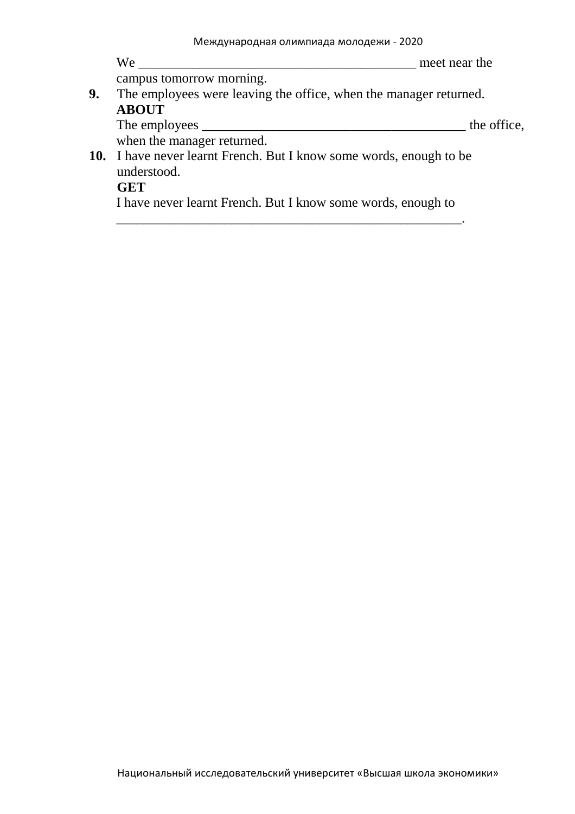|    | We<br>meet near the                                                        |
|----|----------------------------------------------------------------------------|
|    | campus tomorrow morning.                                                   |
| 9. | The employees were leaving the office, when the manager returned.          |
|    | <b>ABOUT</b>                                                               |
|    | the office,                                                                |
|    | when the manager returned.                                                 |
|    | <b>10.</b> I have never learnt French. But I know some words, enough to be |
|    | understood.                                                                |
|    | <b>GET</b>                                                                 |
|    | I have never learnt French. But I know some words, enough to               |

\_\_\_\_\_\_\_\_\_\_\_\_\_\_\_\_\_\_\_\_\_\_\_\_\_\_\_\_\_\_\_\_\_\_\_\_\_\_\_\_\_\_\_\_\_\_\_\_\_\_\_.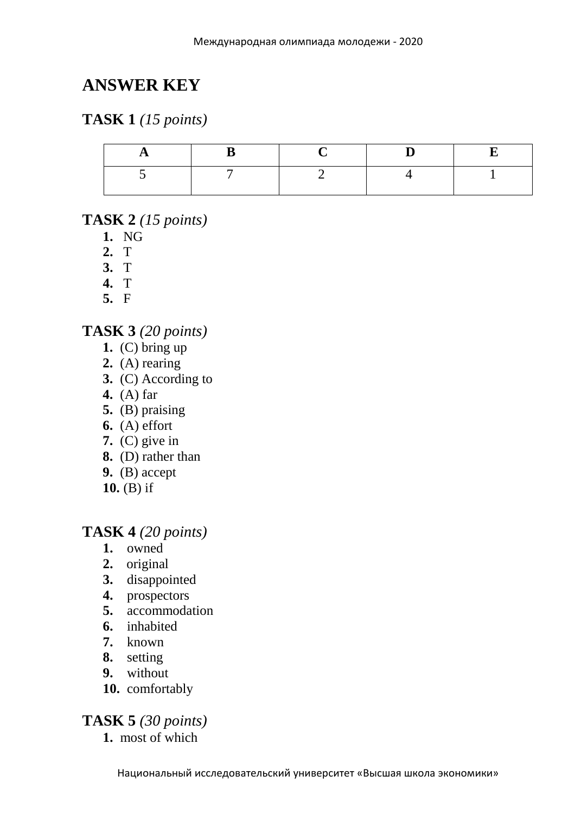# **ANSWER KEY**

### **TASK 1** *(15 points)*

#### **TASK 2** *(15 points)*

- **1.** NG
- **2.** T
- **3.** T
- **4.** T
- **5.** F

#### **TASK 3** *(20 points)*

- **1.** (C) bring up
- **2.** (A) rearing
- **3.** (C) According to
- **4.** (A) far
- **5.** (B) praising
- **6.** (A) effort
- **7.** (C) give in
- **8.** (D) rather than
- **9.** (B) accept
- **10.** (B) if

#### **TASK 4** *(20 points)*

- **1.** owned
- **2.** original
- **3.** disappointed
- **4.** prospectors
- **5.** accommodation
- **6.** inhabited
- **7.** known
- **8.** setting
- **9.** without
- **10.** comfortably

### **TASK 5** *(30 points)*

**1.** most of which